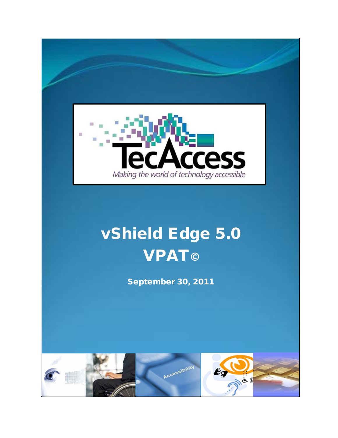

# vShield Edge 5.0 **VPAT©**

September 30, 2011

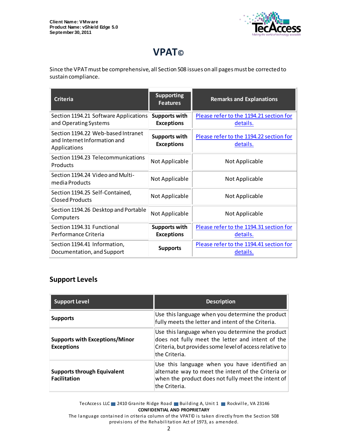

## **VPAT©**

Since the VPAT must be comprehensive, all Section 508 issues on all pages must be corrected to sustain compliance.

| <b>Criteria</b>                                                                    | <b>Supporting</b><br><b>Features</b>      | <b>Remarks and Explanations</b>                     |
|------------------------------------------------------------------------------------|-------------------------------------------|-----------------------------------------------------|
| Section 1194.21 Software Applications<br>and Operating Systems                     | <b>Supports with</b><br><b>Exceptions</b> | Please refer to the 1194.21 section for<br>details. |
| Section 1194.22 Web-based Intranet<br>and Internet Information and<br>Applications | <b>Supports with</b><br><b>Exceptions</b> | Please refer to the 1194.22 section for<br>details. |
| Section 1194.23 Telecommunications<br>Products                                     | Not Applicable                            | Not Applicable                                      |
| Section 1194.24 Video and Multi-<br>media Products                                 | Not Applicable                            | Not Applicable                                      |
| Section 1194.25 Self-Contained,<br>Closed Products                                 | Not Applicable                            | Not Applicable                                      |
| Section 1194.26 Desktop and Portable<br>Computers                                  | Not Applicable                            | Not Applicable                                      |
| Section 1194.31 Functional<br>Performance Criteria                                 | <b>Supports with</b><br><b>Exceptions</b> | Please refer to the 1194.31 section for<br>details. |
| Section 1194.41 Information,<br>Documentation, and Support                         | <b>Supports</b>                           | Please refer to the 1194.41 section for<br>details. |

#### **Support Levels**

| <b>Support Level</b>                                       | <b>Description</b>                                                                                                                                                               |
|------------------------------------------------------------|----------------------------------------------------------------------------------------------------------------------------------------------------------------------------------|
| <b>Supports</b>                                            | Use this language when you determine the product<br>fully meets the letter and intent of the Criteria.                                                                           |
| <b>Supports with Exceptions/Minor</b><br><b>Exceptions</b> | Use this language when you determine the product<br>does not fully meet the letter and intent of the<br>Criteria, but provides some level of access relative to<br>the Criteria. |
| <b>Supports through Equivalent</b><br><b>Facilitation</b>  | Use this language when you have identified an<br>alternate way to meet the intent of the Criteria or<br>when the product does not fully meet the intent of<br>lthe Criteria.     |

TecAccess LLC 2410 Granite Ridge Road Building A, Unit 1 Rockville, VA 23146 **CONFIDENTIAL AND PROPRIETARY**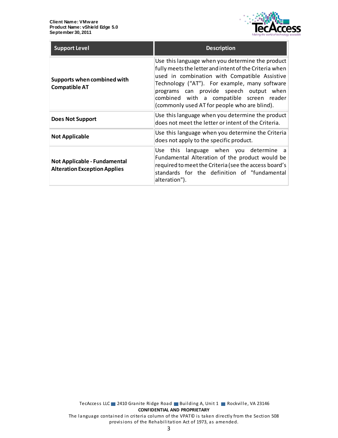

| <b>Support Level</b>                                                | <b>Description</b>                                                                                                                                                                                                                                                                                                                                  |
|---------------------------------------------------------------------|-----------------------------------------------------------------------------------------------------------------------------------------------------------------------------------------------------------------------------------------------------------------------------------------------------------------------------------------------------|
| Supports when combined with<br><b>Compatible AT</b>                 | Use this language when you determine the product<br>fully meets the letter and intent of the Criteria when<br>used in combination with Compatible Assistive<br>Technology ("AT"). For example, many software<br>programs can provide speech output when<br>combined with a compatible screen reader<br>(commonly used AT for people who are blind). |
| <b>Does Not Support</b>                                             | Use this language when you determine the product<br>does not meet the letter or intent of the Criteria.                                                                                                                                                                                                                                             |
| <b>Not Applicable</b>                                               | Use this language when you determine the Criteria<br>does not apply to the specific product.                                                                                                                                                                                                                                                        |
| Not Applicable - Fundamental<br><b>Alteration Exception Applies</b> | Use this language when you determine a<br>Fundamental Alteration of the product would be<br>required to meet the Criteria (see the access board's<br>standards for the definition of "fundamental<br>alteration").                                                                                                                                  |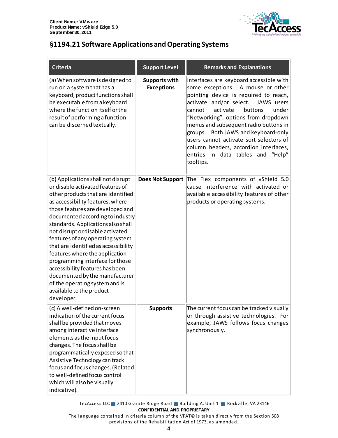

### <span id="page-3-0"></span>**§1194.21 Software Applications and Operating Systems**

| <b>Criteria</b>                                                                                                                                                                                                                                                                                                                                                                                                                                                                                                                                                                                      | <b>Support Level</b>                      | <b>Remarks and Explanations</b>                                                                                                                                                                                                                                                                                                                                                                                                                                       |
|------------------------------------------------------------------------------------------------------------------------------------------------------------------------------------------------------------------------------------------------------------------------------------------------------------------------------------------------------------------------------------------------------------------------------------------------------------------------------------------------------------------------------------------------------------------------------------------------------|-------------------------------------------|-----------------------------------------------------------------------------------------------------------------------------------------------------------------------------------------------------------------------------------------------------------------------------------------------------------------------------------------------------------------------------------------------------------------------------------------------------------------------|
| (a) When software is designed to<br>run on a system that has a<br>keyboard, product functions shall<br>be executable from a keyboard<br>where the function itself or the<br>result of performing a function<br>can be discerned textually.                                                                                                                                                                                                                                                                                                                                                           | <b>Supports with</b><br><b>Exceptions</b> | Interfaces are keyboard accessible with<br>some exceptions. A mouse or other<br>pointing device is required to reach,<br>activate and/or select.<br>JAWS users<br>activate<br>buttons<br>under<br>cannot<br>"Networking", options from dropdown<br>menus and subsequent radio buttons in<br>groups. Both JAWS and keyboard-only<br>users cannot activate sort selectors of<br>column headers, accordion interfaces,<br>entries in data tables and "Help"<br>tooltips. |
| (b) Applications shall not disrupt<br>or disable activated features of<br>other products that are identified<br>as accessibility features, where<br>those features are developed and<br>documented according to industry<br>standards. Applications also shall<br>not disrupt or disable activated<br>features of any operating system<br>that are identified as accessibility<br>features where the application<br>programming interface for those<br>accessibility features has been<br>documented by the manufacturer<br>of the operating system and is<br>available to the product<br>developer. | <b>Does Not Support</b>                   | The Flex components of vShield 5.0<br>cause interference with activated or<br>available accessibility features of other<br>products or operating systems.                                                                                                                                                                                                                                                                                                             |
| (c) A well-defined on-screen<br>indication of the current focus<br>shall be provided that moves<br>among interactive interface<br>elements as the input focus<br>changes. The focus shall be<br>programmatically exposed so that<br>Assistive Technology can track<br>focus and focus changes. (Related<br>to well-defined focus control<br>which will also be visually<br>indicative).                                                                                                                                                                                                              | <b>Supports</b>                           | The current focus can be tracked visually<br>or through assistive technologies. For<br>example, JAWS follows focus changes<br>synchronously.                                                                                                                                                                                                                                                                                                                          |

TecAccess LLC 2410 Granite Ridge Road Building A, Unit 1 Rockville, VA 23146 **CONFIDENTIAL AND PROPRIETARY**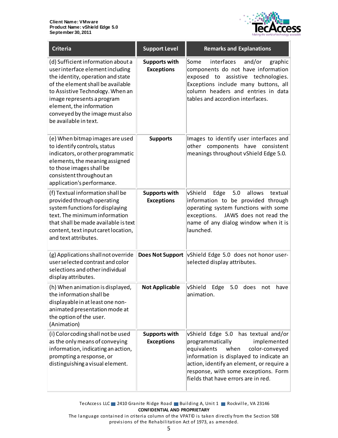

| <b>Criteria</b>                                                                                                                                                                                                                                                                                            | <b>Support Level</b>                      | <b>Remarks and Explanations</b>                                                                                                                                                                                                                                                           |
|------------------------------------------------------------------------------------------------------------------------------------------------------------------------------------------------------------------------------------------------------------------------------------------------------------|-------------------------------------------|-------------------------------------------------------------------------------------------------------------------------------------------------------------------------------------------------------------------------------------------------------------------------------------------|
| (d) Sufficient information about a<br>user interface element including<br>the identity, operation and state<br>of the element shall be available<br>to Assistive Technology. When an<br>image represents a program<br>element, the information<br>conveyed by the image must also<br>be available in text. | <b>Supports with</b><br><b>Exceptions</b> | interfaces<br>Some<br>and/or<br>graphic<br>components do not have information<br>exposed to<br>assistive technologies.<br>Exceptions include many buttons, all<br>column headers and entries in data<br>tables and accordion interfaces.                                                  |
| (e) When bitmap images are used<br>to identify controls, status<br>indicators, or other programmatic<br>elements, the meaning assigned<br>to those images shall be<br>consistent throughout an<br>application's performance.                                                                               | <b>Supports</b>                           | Images to identify user interfaces and<br>other components have<br>consistent<br>meanings throughout vShield Edge 5.0.                                                                                                                                                                    |
| (f) Textual information shall be<br>provided through operating<br>system functions for displaying<br>text. The minimum information<br>that shall be made available is text<br>content, text input caret location,<br>and text attributes.                                                                  | <b>Supports with</b><br><b>Exceptions</b> | vShield<br>Edge<br>5.0<br>allows<br>textual<br>information to be provided through<br>operating system functions with some<br>exceptions.<br>JAWS does not read the<br>name of any dialog window when it is<br>launched.                                                                   |
| (g) Applications shall not override<br>user selected contrast and color<br>selections and other individual<br>display attributes.                                                                                                                                                                          | <b>Does Not Support</b>                   | vShield Edge 5.0 does not honor user-<br>selected display attributes.                                                                                                                                                                                                                     |
| (h) When animation is displayed,<br>the information shall be<br>displayable in at least one non-<br>animated presentation mode at<br>the option of the user.<br>(Animation)                                                                                                                                | <b>Not Applicable</b>                     | vShield<br>Edge<br>5.0<br>does<br>have<br>not<br>animation.                                                                                                                                                                                                                               |
| (i) Color coding shall not be used<br>as the only means of conveying<br>information, indicating an action,<br>prompting a response, or<br>distinguishing a visual element.                                                                                                                                 | <b>Supports with</b><br><b>Exceptions</b> | vShield Edge 5.0<br>has textual and/or<br>programmatically<br>implemented<br>equivalents<br>when<br>color-conveyed<br>information is displayed to indicate an<br>action, identify an element, or require a<br>response, with some exceptions. Form<br>fields that have errors are in red. |

TecAccess LLC 2410 Granite Ridge Road Building A, Unit 1 Rockville, VA 23146 **CONFIDENTIAL AND PROPRIETARY**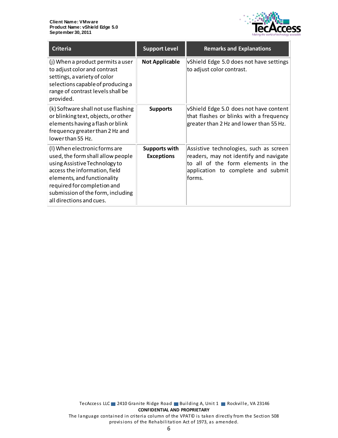

| <b>Criteria</b>                                                                                                                                                                                                                                                     | <b>Support Level</b>               | <b>Remarks and Explanations</b>                                                                                                                                        |
|---------------------------------------------------------------------------------------------------------------------------------------------------------------------------------------------------------------------------------------------------------------------|------------------------------------|------------------------------------------------------------------------------------------------------------------------------------------------------------------------|
| (j) When a product permits a user<br>to adjust color and contrast<br>settings, a variety of color<br>selections capable of producing a<br>range of contrast levels shall be<br>provided.                                                                            | <b>Not Applicable</b>              | vShield Edge 5.0 does not have settings<br>to adjust color contrast.                                                                                                   |
| (k) Software shall not use flashing<br>or blinking text, objects, or other<br>elements having a flash or blink<br>frequency greater than 2 Hz and<br>lowerthan 55 Hz.                                                                                               | <b>Supports</b>                    | vShield Edge 5.0 does not have content<br>that flashes or blinks with a frequency<br>greater than 2 Hz and lower than 55 Hz.                                           |
| (I) When electronic forms are<br>used, the form shall allow people<br>using Assistive Technology to<br>access the information, field<br>elements, and functionality<br>required for completion and<br>submission of the form, including<br>all directions and cues. | Supports with<br><b>Exceptions</b> | Assistive technologies, such as screen<br>readers, may not identify and navigate<br>to all of the form elements in the<br>application to complete and submit<br>forms. |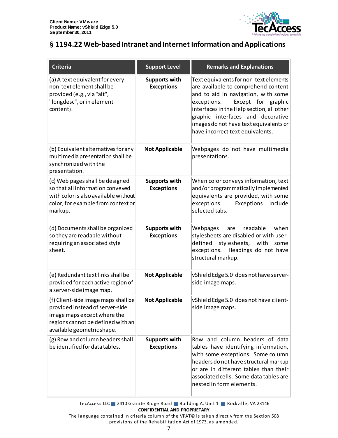

#### <span id="page-6-0"></span>**§ 1194.22 Web-based Intranet and Internet Information and Applications**

| <b>Criteria</b>                                                                                                                                                          | <b>Support Level</b>                      | <b>Remarks and Explanations</b>                                                                                                                                                                                                                                                                                           |
|--------------------------------------------------------------------------------------------------------------------------------------------------------------------------|-------------------------------------------|---------------------------------------------------------------------------------------------------------------------------------------------------------------------------------------------------------------------------------------------------------------------------------------------------------------------------|
| (a) A text equivalent for every<br>non-text element shall be<br>provided (e.g., via "alt",<br>"longdesc", or in element<br>content).                                     | <b>Supports with</b><br><b>Exceptions</b> | Text equivalents for non-text elements<br>are available to comprehend content<br>and to aid in navigation, with some<br>Except for graphic<br>exceptions.<br>interfaces in the Help section, all other<br>graphic interfaces and decorative<br>images do not have text equivalents or<br>have incorrect text equivalents. |
| (b) Equivalent alternatives for any<br>multimedia presentation shall be<br>synchronized with the<br>presentation.                                                        | <b>Not Applicable</b>                     | Webpages do not have multimedia<br>presentations.                                                                                                                                                                                                                                                                         |
| (c) Web pages shall be designed<br>so that all information conveyed<br>with color is also available without<br>color, for example from context or<br>markup.             | <b>Supports with</b><br><b>Exceptions</b> | When color conveys information, text<br>and/or programmatically implemented<br>equivalents are provided, with some<br>exceptions.<br>Exceptions<br>include<br>selected tabs.                                                                                                                                              |
| (d) Documents shall be organized<br>so they are readable without<br>requiring an associated style<br>sheet.                                                              | <b>Supports with</b><br><b>Exceptions</b> | when<br>Webpages<br>readable<br>are<br>stylesheets are disabled or with user-<br>stylesheets, with<br>defined<br>some<br>exceptions. Headings do not have<br>structural markup.                                                                                                                                           |
| (e) Redundant text links shall be<br>provided for each active region of<br>a server-side image map.                                                                      | <b>Not Applicable</b>                     | vShield Edge 5.0 does not have server-<br>side image maps.                                                                                                                                                                                                                                                                |
| (f) Client-side image maps shall be<br>provided instead of server-side<br>image maps except where the<br>regions cannot be defined with an<br>available geometric shape. | <b>Not Applicable</b>                     | vShield Edge 5.0 does not have client-<br>side image maps.                                                                                                                                                                                                                                                                |
| (g) Row and column headers shall<br>be identified for data tables.                                                                                                       | <b>Supports with</b><br><b>Exceptions</b> | Row and column headers of data<br>tables have identifying information,<br>with some exceptions. Some column<br>headers do not have structural markup<br>or are in different tables than their<br>associated cells. Some data tables are<br>nested in form elements.                                                       |

TecAccess LLC 2410 Granite Ridge Road Building A, Unit 1 Rockville, VA 23146 **CONFIDENTIAL AND PROPRIETARY**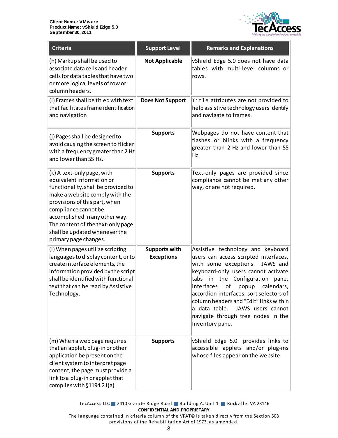

| <b>Criteria</b>                                                                                                                                                                                                                                                                                                             | <b>Support Level</b>                      | <b>Remarks and Explanations</b>                                                                                                                                                                                                                                                                                                                                                                                                   |
|-----------------------------------------------------------------------------------------------------------------------------------------------------------------------------------------------------------------------------------------------------------------------------------------------------------------------------|-------------------------------------------|-----------------------------------------------------------------------------------------------------------------------------------------------------------------------------------------------------------------------------------------------------------------------------------------------------------------------------------------------------------------------------------------------------------------------------------|
| (h) Markup shall be used to<br>associate data cells and header<br>cells for data tables that have two<br>or more logical levels of row or<br>column headers.                                                                                                                                                                | <b>Not Applicable</b>                     | vShield Edge 5.0 does not have data<br>tables with multi-level columns or<br>rows.                                                                                                                                                                                                                                                                                                                                                |
| (i) Frames shall be titled with text<br>that facilitates frame identification<br>and navigation                                                                                                                                                                                                                             | <b>Does Not Support</b>                   | Title attributes are not provided to<br>help assistive technology users identify<br>and navigate to frames.                                                                                                                                                                                                                                                                                                                       |
| (j) Pages shall be designed to<br>avoid causing the screen to flicker<br>with a frequency greater than 2 Hz<br>and lower than 55 Hz.                                                                                                                                                                                        | <b>Supports</b>                           | Webpages do not have content that<br>flashes or blinks with a frequency<br>greater than 2 Hz and lower than 55<br>Hz.                                                                                                                                                                                                                                                                                                             |
| (k) A text-only page, with<br>equivalent information or<br>functionality, shall be provided to<br>make a web site comply with the<br>provisions of this part, when<br>compliance cannot be<br>accomplished in any other way.<br>The content of the text-only page<br>shall be updated whenever the<br>primary page changes. | <b>Supports</b>                           | Text-only pages are provided since<br>compliance cannot be met any other<br>way, or are not required.                                                                                                                                                                                                                                                                                                                             |
| (I) When pages utilize scripting<br>languages to display content, or to<br>create interface elements, the<br>information provided by the script<br>shall be identified with functional<br>text that can be read by Assistive<br>Technology.                                                                                 | <b>Supports with</b><br><b>Exceptions</b> | Assistive technology and keyboard<br>users can access scripted interfaces,<br>with some exceptions.<br>JAWS and<br>keyboard-only users cannot activate<br>in the<br>Configuration<br>tabs<br>pane,<br>interfaces<br>οf<br>calendars,<br>popup<br>accordion interfaces, sort selectors of<br>column headers and "Edit" links within<br>a data table.<br>JAWS users cannot<br>navigate through tree nodes in the<br>Inventory pane. |
| (m) When a web page requires<br>that an applet, plug-in or other<br>application be present on the<br>client system to interpret page<br>content, the page must provide a<br>link to a plug-in or applet that<br>complies with §1194.21(a)                                                                                   | <b>Supports</b>                           | vShield Edge 5.0 provides links to<br>accessible applets and/or plug-ins<br>whose files appear on the website.                                                                                                                                                                                                                                                                                                                    |

TecAccess LLC 2410 Granite Ridge Road Building A, Unit 1 Rockville, VA 23146 **CONFIDENTIAL AND PROPRIETARY**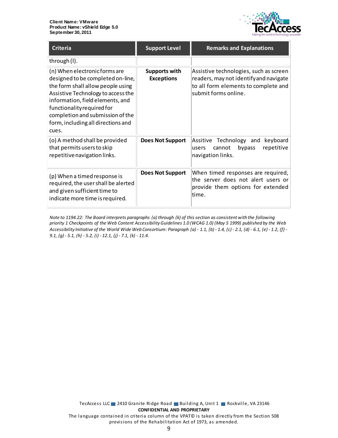

| <b>Criteria</b>                                                                                                                                                                                                                                                                                    | <b>Support Level</b>                      | <b>Remarks and Explanations</b>                                                                                                                  |
|----------------------------------------------------------------------------------------------------------------------------------------------------------------------------------------------------------------------------------------------------------------------------------------------------|-------------------------------------------|--------------------------------------------------------------------------------------------------------------------------------------------------|
| through (I).                                                                                                                                                                                                                                                                                       |                                           |                                                                                                                                                  |
| (n) When electronic forms are<br>designed to be completed on-line,<br>the form shall allow people using<br>Assistive Technology to access the<br>information, field elements, and<br>functionality required for<br>completion and submission of the<br>form, including all directions and<br>cues. | <b>Supports with</b><br><b>Exceptions</b> | Assistive technologies, such as screen<br>readers, may not identify and navigate<br>to all form elements to complete and<br>submit forms online. |
| (o) A method shall be provided<br>that permits users to skip<br>repetitive navigation links.                                                                                                                                                                                                       | <b>Does Not Support</b>                   | Assitive Technology and<br>keyboard<br>bypass<br>repetitive<br>cannot<br>lusers<br>navigation links.                                             |
| (p) When a timed response is<br>required, the user shall be alerted<br>and given sufficient time to<br>indicate more time is required.                                                                                                                                                             | <b>Does Not Support</b>                   | When timed responses are required,<br>the server does not alert users or<br>provide them options for extended<br>ltime.                          |

*Note to 1194.22: The Board interprets paragraphs (a) through (k) of this section as consistent with the following priority 1 Checkpoints of the Web Content Accessibility Guidelines 1.0 (WCAG 1.0) (May 5 1999) published by the Web Accessibility Initiative of the World Wide Web Consortium: Paragraph (a) - 1.1, (b) - 1.4, (c) - 2.1, (d) - 6.1, (e) - 1.2, (f) - 9.1, (g) - 5.1, (h) - 5.2, (i) - 12.1, (j) - 7.1, (k) - 11.4.*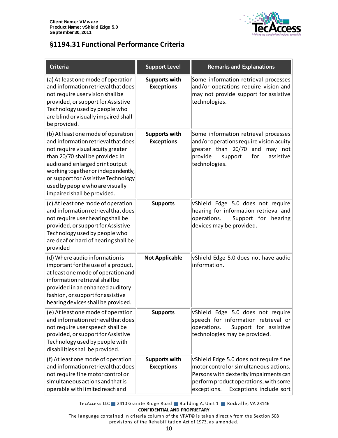

#### <span id="page-9-0"></span>**§1194.31 Functional Performance Criteria**

| <b>Criteria</b>                                                                                                                                                                                                                                                                                                                     | <b>Support Level</b>                      | <b>Remarks and Explanations</b>                                                                                                                                                                               |
|-------------------------------------------------------------------------------------------------------------------------------------------------------------------------------------------------------------------------------------------------------------------------------------------------------------------------------------|-------------------------------------------|---------------------------------------------------------------------------------------------------------------------------------------------------------------------------------------------------------------|
| (a) At least one mode of operation<br>and information retrieval that does<br>not require user vision shall be<br>provided, or support for Assistive<br>Technology used by people who<br>are blind or visually impaired shall<br>be provided.                                                                                        | <b>Supports with</b><br><b>Exceptions</b> | Some information retrieval processes<br>and/or operations require vision and<br>may not provide support for assistive<br>technologies.                                                                        |
| (b) At least one mode of operation<br>and information retrieval that does<br>not require visual acuity greater<br>than 20/70 shall be provided in<br>audio and enlarged print output<br>working together or independently,<br>or support for Assistive Technology<br>used by people who are visually<br>impaired shall be provided. | <b>Supports with</b><br><b>Exceptions</b> | Some information retrieval processes<br>and/or operations require vision acuity<br>greater than 20/70<br>and<br>may not<br>provide<br>assistive<br>support<br>for<br>technologies.                            |
| (c) At least one mode of operation<br>and information retrieval that does<br>not require user hearing shall be<br>provided, or support for Assistive<br>Technology used by people who<br>are deaf or hard of hearing shall be<br>provided                                                                                           | <b>Supports</b>                           | vShield Edge 5.0 does not require<br>hearing for information retrieval and<br>operations.<br>Support for hearing<br>devices may be provided.                                                                  |
| (d) Where audio information is<br>important for the use of a product,<br>at least one mode of operation and<br>information retrieval shall be<br>provided in an enhanced auditory<br>fashion, or support for assistive<br>hearing devices shall be provided.                                                                        | <b>Not Applicable</b>                     | vShield Edge 5.0 does not have audio<br>information.                                                                                                                                                          |
| (e) At least one mode of operation<br>and information retrieval that does<br>not require user speech shall be<br>provided, or support for Assistive<br>Technology used by people with<br>disabilities shall be provided.                                                                                                            | <b>Supports</b>                           | vShield Edge 5.0 does not require<br>speech for information retrieval or<br>operations.<br>Support for assistive<br>technologies may be provided.                                                             |
| (f) At least one mode of operation<br>and information retrieval that does<br>not require fine motor control or<br>simultaneous actions and that is<br>operable with limited reach and                                                                                                                                               | <b>Supports with</b><br><b>Exceptions</b> | vShield Edge 5.0 does not require fine<br>motor control or simultaneous actions.<br>Persons with dexterity impairments can<br>perform product operations, with some<br>Exceptions include sort<br>exceptions. |

TecAccess LLC 2410 Granite Ridge Road Building A, Unit 1 Rockville, VA 23146 **CONFIDENTIAL AND PROPRIETARY**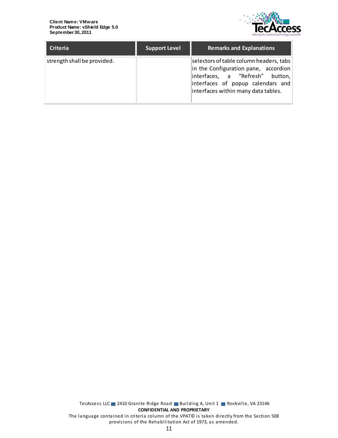

| <b>Criteria</b>             | <b>Support Level</b> | <b>Remarks and Explanations</b>                                                                                                                                                                |
|-----------------------------|----------------------|------------------------------------------------------------------------------------------------------------------------------------------------------------------------------------------------|
| strength shall be provided. |                      | selectors of table column headers, tabs<br>in the Configuration pane, accordion<br>interfaces, a "Refresh" button,<br>interfaces of popup calendars and<br>interfaces within many data tables. |

TecAccess LLC 2410 Granite Ridge Road Building A, Unit 1 Rockville, VA 23146 **CONFIDENTIAL AND PROPRIETARY** The language contained in criteria column of the VPAT© is taken directly from the Section 508 provisions of the Rehabilitation Act of 1973, as amended.